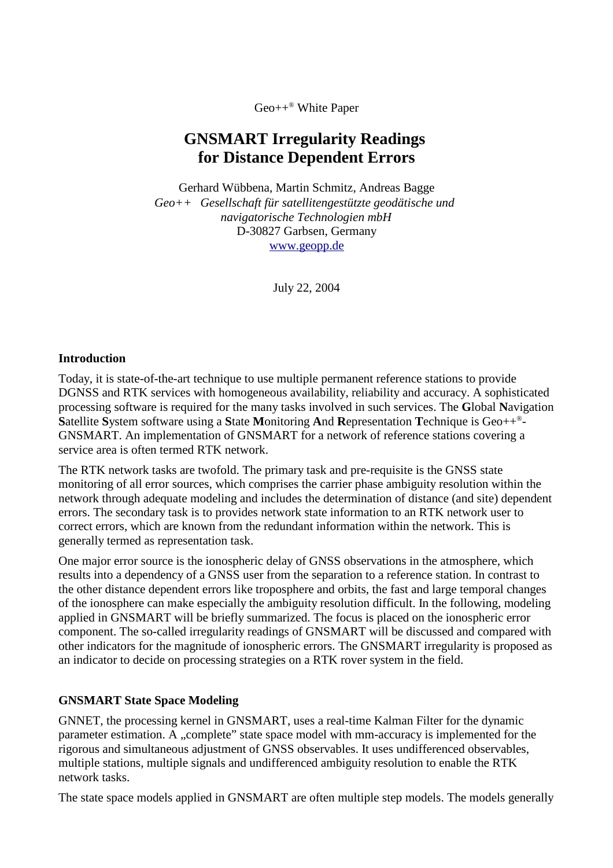Geo++ ® White Paper

# **GNSMART Irregularity Readings for Distance Dependent Errors**

Gerhard Wübbena, Martin Schmitz, Andreas Bagge *Geo++ Gesellschaft für satellitengestützte geodätische und navigatorische Technologien mbH* D-30827 Garbsen, Germany www.geopp.de

July 22, 2004

#### **Introduction**

Today, it is state-of-the-art technique to use multiple permanent reference stations to provide DGNSS and RTK services with homogeneous availability, reliability and accuracy. A sophisticated processing software is required for the many tasks involved in such services. The **G**lobal **N**avigation **S**atellite **S**ystem software using a **S**tate **M**onitoring **A**nd **R**epresentation **T**echnique is Geo++ ® - GNSMART. An implementation of GNSMART for a network of reference stations covering a service area is often termed RTK network.

The RTK network tasks are twofold. The primary task and pre-requisite is the GNSS state monitoring of all error sources, which comprises the carrier phase ambiguity resolution within the network through adequate modeling and includes the determination of distance (and site) dependent errors. The secondary task is to provides network state information to an RTK network user to correct errors, which are known from the redundant information within the network. This is generally termed as representation task.

One major error source is the ionospheric delay of GNSS observations in the atmosphere, which results into a dependency of a GNSS user from the separation to a reference station. In contrast to the other distance dependent errors like troposphere and orbits, the fast and large temporal changes of the ionosphere can make especially the ambiguity resolution difficult. In the following, modeling applied in GNSMART will be briefly summarized. The focus is placed on the ionospheric error component. The so-called irregularity readings of GNSMART will be discussed and compared with other indicators for the magnitude of ionospheric errors. The GNSMART irregularity is proposed as an indicator to decide on processing strategies on a RTK rover system in the field.

### **GNSMART State Space Modeling**

GNNET, the processing kernel in GNSMART, uses a real-time Kalman Filter for the dynamic parameter estimation. A "complete" state space model with mm-accuracy is implemented for the rigorous and simultaneous adjustment of GNSS observables. It uses undifferenced observables, multiple stations, multiple signals and undifferenced ambiguity resolution to enable the RTK network tasks.

The state space models applied in GNSMART are often multiple step models. The models generally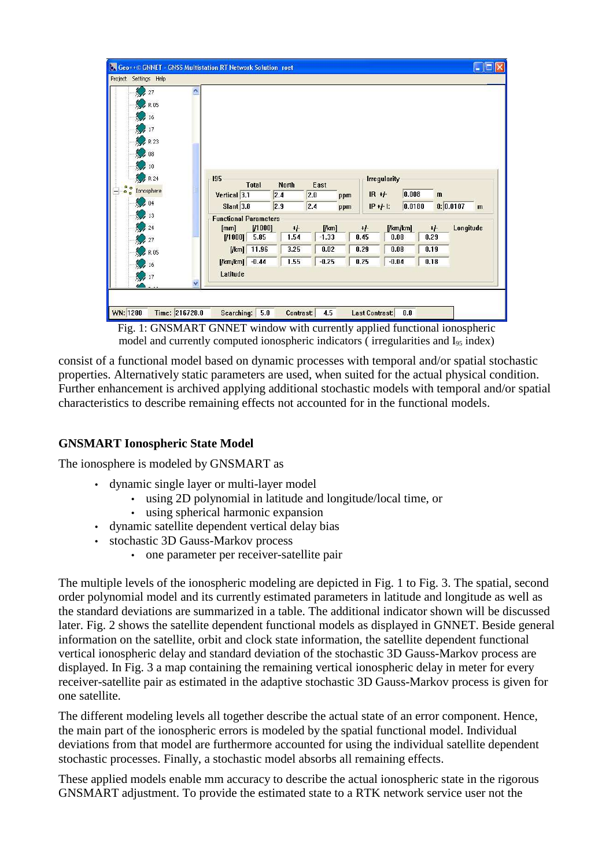| 27                                                                           |              |                                                  |           |              |         |     |                     |         |              |                          |
|------------------------------------------------------------------------------|--------------|--------------------------------------------------|-----------|--------------|---------|-----|---------------------|---------|--------------|--------------------------|
| $\bullet$ R 05                                                               |              |                                                  |           |              |         |     |                     |         |              |                          |
| 16                                                                           |              |                                                  |           |              |         |     |                     |         |              |                          |
| 17                                                                           |              |                                                  |           |              |         |     |                     |         |              |                          |
| R 23                                                                         |              |                                                  |           |              |         |     |                     |         |              |                          |
| 08                                                                           |              |                                                  |           |              |         |     |                     |         |              |                          |
| 10                                                                           |              |                                                  |           |              |         |     |                     |         |              |                          |
| R 24                                                                         |              | 195                                              |           |              |         |     | <b>Irregularity</b> |         |              |                          |
| $\begin{array}{c}\n\bullet \\ \bullet \\ \bullet\n\end{array}$<br>Ionosphere |              | Total                                            |           | <b>North</b> | East    |     |                     |         |              |                          |
| $= 04$                                                                       |              | Vertical 3.1                                     |           | 2.4          | 2.0     | ppm | $IR + F$            | 0.008   | $\mathbf{m}$ |                          |
| 13                                                                           |              | <b>Slant</b> 3.8                                 |           | 2.9          | 2.4     | ppm | $IP + F$ :          | 0.0180  |              | 0:0.0107<br>$\mathbf{m}$ |
|                                                                              |              | <b>Functional Parameters</b>                     |           |              |         |     |                     |         |              |                          |
| 24                                                                           |              | [mm]                                             | [ / 1000] | $+$          | [/km]   |     | $+1$                | [km/km] | $+/-$        | Longitude                |
| 27                                                                           |              | [11000]                                          | 5.85      | 1.54         | $-1.33$ |     | 0.45                | 0.08    | 0.29         |                          |
| R 05                                                                         |              | [/km] 11.96                                      |           | 3.25         | 0.02    |     | 0.29                | 0.08    | 0.19         |                          |
| 16                                                                           |              | $\left  \frac{\text{I}}{\text{I}} \right $ =0.44 |           | 1.55         | $-0.25$ |     | 0.25                | $-0.04$ | 0.18         |                          |
| 17                                                                           |              | Latitude                                         |           |              |         |     |                     |         |              |                          |
|                                                                              | $\checkmark$ |                                                  |           |              |         |     |                     |         |              |                          |

Fig. 1: GNSMART GNNET window with currently applied functional ionospheric model and currently computed ionospheric indicators (irregularities and I<sub>95</sub> index)

consist of a functional model based on dynamic processes with temporal and/or spatial stochastic properties. Alternatively static parameters are used, when suited for the actual physical condition. Further enhancement is archived applying additional stochastic models with temporal and/or spatial characteristics to describe remaining effects not accounted for in the functional models.

### **GNSMART Ionospheric State Model**

The ionosphere is modeled by GNSMART as

- dynamic single layer or multi-layer model
	- using 2D polynomial in latitude and longitude/local time, or
	- using spherical harmonic expansion
- dynamic satellite dependent vertical delay bias
- stochastic 3D Gauss-Markov process
	- one parameter per receiver-satellite pair

The multiple levels of the ionospheric modeling are depicted in Fig. 1 to Fig. 3. The spatial, second order polynomial model and its currently estimated parameters in latitude and longitude as well as the standard deviations are summarized in a table. The additional indicator shown will be discussed later. Fig. 2 shows the satellite dependent functional models as displayed in GNNET. Beside general information on the satellite, orbit and clock state information, the satellite dependent functional vertical ionospheric delay and standard deviation of the stochastic 3D Gauss-Markov process are displayed. In Fig. 3 a map containing the remaining vertical ionospheric delay in meter for every receiver-satellite pair as estimated in the adaptive stochastic 3D Gauss-Markov process is given for one satellite.

The different modeling levels all together describe the actual state of an error component. Hence, the main part of the ionospheric errors is modeled by the spatial functional model. Individual deviations from that model are furthermore accounted for using the individual satellite dependent stochastic processes. Finally, a stochastic model absorbs all remaining effects.

These applied models enable mm accuracy to describe the actual ionospheric state in the rigorous GNSMART adjustment. To provide the estimated state to a RTK network service user not the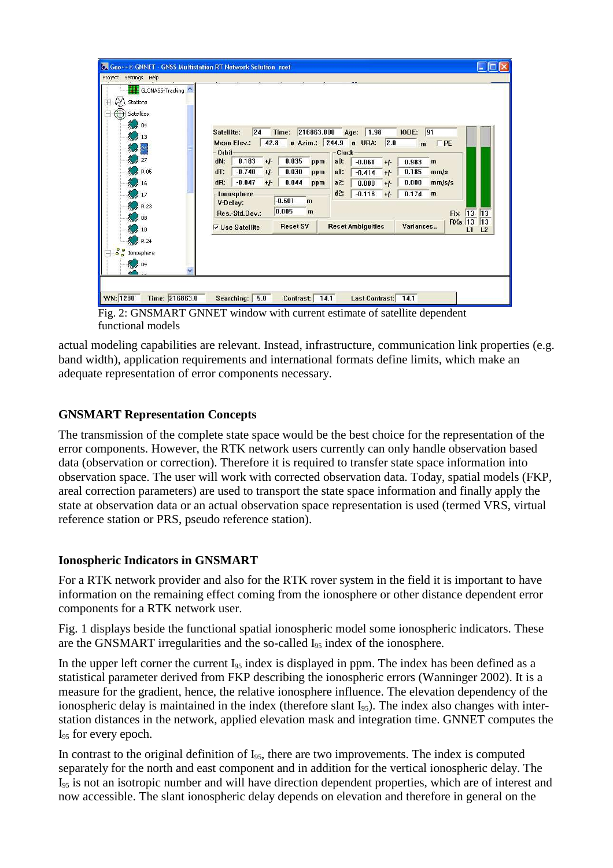| ₩<br>GLONASS-Tracking<br>M<br>Stations<br>$\mathbf{H}$<br>⊕<br>Satellites<br>$\frac{1}{2}$ 04<br>213<br>24<br>27<br>R 05<br>$\frac{16}{2}$<br>17<br>R 23<br>$\mathcal{Q}$ 08<br>10<br>R 24 | Time: 216863.000<br>IODE: 91<br>24<br>1.98<br>Age:<br>Satellite:<br> 2.0 <br>42.8<br>a Azim.: 244.9 a URA:<br>Mean Elev.:<br>$\Gamma$ PE<br>$\mathbf{m}$<br>Orbit<br>Clock<br>$0.183 + F$<br>0.035<br>dN:<br>$a0$ :<br>ppm<br>$-0.061$<br>0.983<br>$+/-$<br>$\mathbf{m}$<br>$-0.740$<br>0.030<br>dT:<br>$+1$<br>0.185<br>$a1$ :<br>$-0.414$<br>mm/s<br>ppm<br>$+/-$<br>$-0.047$<br>0.044<br>dR:<br>$+/-$<br>a2:<br>0.000<br>mm/s/s<br>0.000<br>ppm<br>$+/-$<br>$d2$ :<br>$-0.116$<br>0.174<br>$+/-$<br>$\mathbf{m}$<br>lonosphere<br>$-0.601$<br>$\mathbf{m}$<br>V-Delay:<br> 0.005 <br>$\mathbf{m}$<br>13<br>$ 13\rangle$<br>Res.-Std.Dev.:<br>Fix<br><b>RXs</b> 13<br> 13 <br><b>Reset SV</b><br><b>Reset Ambiguities</b><br>Variances<br>$\nabla$ Use Satellite<br>L1<br>L2 |
|--------------------------------------------------------------------------------------------------------------------------------------------------------------------------------------------|--------------------------------------------------------------------------------------------------------------------------------------------------------------------------------------------------------------------------------------------------------------------------------------------------------------------------------------------------------------------------------------------------------------------------------------------------------------------------------------------------------------------------------------------------------------------------------------------------------------------------------------------------------------------------------------------------------------------------------------------------------------------------------|
| $\frac{1}{100}$<br>Ionosphere<br>204                                                                                                                                                       |                                                                                                                                                                                                                                                                                                                                                                                                                                                                                                                                                                                                                                                                                                                                                                                |

Fig. 2: GNSMART GNNET window with current estimate of satellite dependent functional models

actual modeling capabilities are relevant. Instead, infrastructure, communication link properties (e.g. band width), application requirements and international formats define limits, which make an adequate representation of error components necessary.

# **GNSMART Representation Concepts**

The transmission of the complete state space would be the best choice for the representation of the error components. However, the RTK network users currently can only handle observation based data (observation or correction). Therefore it is required to transfer state space information into observation space. The user will work with corrected observation data. Today, spatial models (FKP, areal correction parameters) are used to transport the state space information and finally apply the state at observation data or an actual observation space representation is used (termed VRS, virtual reference station or PRS, pseudo reference station).

### **Ionospheric Indicators in GNSMART**

For a RTK network provider and also for the RTK rover system in the field it is important to have information on the remaining effect coming from the ionosphere or other distance dependent error components for a RTK network user.

Fig. 1 displays beside the functional spatial ionospheric model some ionospheric indicators. These are the GNSMART irregularities and the so-called  $I_{95}$  index of the ionosphere.

In the upper left corner the current  $I_{95}$  index is displayed in ppm. The index has been defined as a statistical parameter derived from FKP describing the ionospheric errors (Wanninger 2002). It is a measure for the gradient, hence, the relative ionosphere influence. The elevation dependency of the ionospheric delay is maintained in the index (therefore slant  $I_{95}$ ). The index also changes with interstation distances in the network, applied elevation mask and integration time. GNNET computes the  $I<sub>95</sub>$  for every epoch.

In contrast to the original definition of  $I_{95}$ , there are two improvements. The index is computed separately for the north and east component and in addition for the vertical ionospheric delay. The I<sup>95</sup> is not an isotropic number and will have direction dependent properties, which are of interest and now accessible. The slant ionospheric delay depends on elevation and therefore in general on the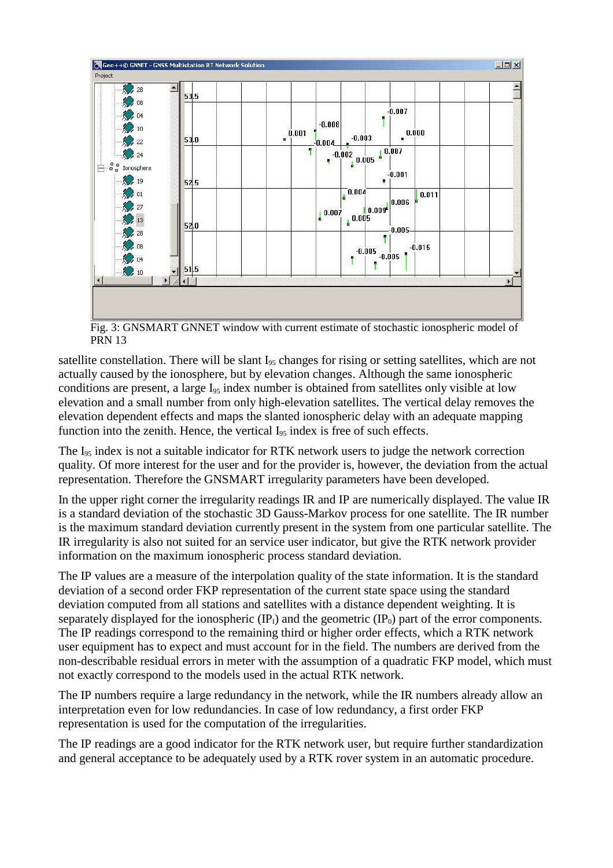

Fig. 3: GNSMART GNNET window with current estimate of stochastic ionospheric model of PRN 13

satellite constellation. There will be slant  $I_{95}$  changes for rising or setting satellites, which are not actually caused by the ionosphere, but by elevation changes. Although the same ionospheric conditions are present, a large I<sub>95</sub> index number is obtained from satellites only visible at low elevation and a small number from only high-elevation satellites. The vertical delay removes the elevation dependent effects and maps the slanted ionospheric delay with an adequate mapping function into the zenith. Hence, the vertical  $I_{95}$  index is free of such effects.

The  $I_{95}$  index is not a suitable indicator for RTK network users to judge the network correction quality. Of more interest for the user and for the provider is, however, the deviation from the actual representation. Therefore the GNSMART irregularity parameters have been developed.

In the upper right corner the irregularity readings IR and IP are numerically displayed. The value IR is a standard deviation of the stochastic 3D Gauss-Markov process for one satellite. The IR number is the maximum standard deviation currently present in the system from one particular satellite. The IR irregularity is also not suited for an service user indicator, but give the RTK network provider information on the maximum ionospheric process standard deviation.

The IP values are a measure of the interpolation quality of the state information. It is the standard deviation of a second order FKP representation of the current state space using the standard deviation computed from all stations and satellites with a distance dependent weighting. It is separately displayed for the ionospheric  $(\text{IP}_1)$  and the geometric  $(\text{IP}_0)$  part of the error components. The IP readings correspond to the remaining third or higher order effects, which a RTK network user equipment has to expect and must account for in the field. The numbers are derived from the non-describable residual errors in meter with the assumption of a quadratic FKP model, which must not exactly correspond to the models used in the actual RTK network.

The IP numbers require a large redundancy in the network, while the IR numbers already allow an interpretation even for low redundancies. In case of low redundancy, a first order FKP representation is used for the computation of the irregularities.

The IP readings are a good indicator for the RTK network user, but require further standardization and general acceptance to be adequately used by a RTK rover system in an automatic procedure.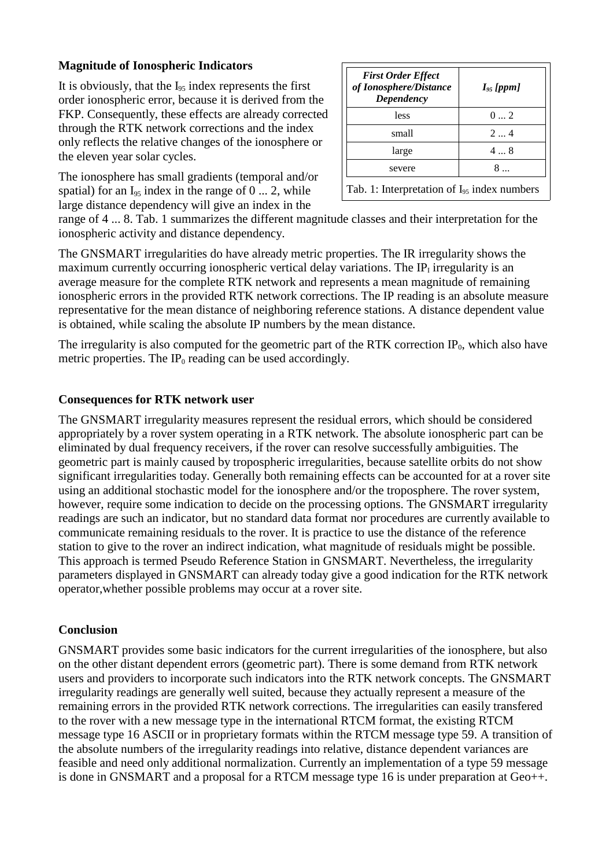## **Magnitude of Ionospheric Indicators**

It is obviously, that the  $I_{95}$  index represents the first order ionospheric error, because it is derived from the FKP. Consequently, these effects are already corrected through the RTK network corrections and the index only reflects the relative changes of the ionosphere or the eleven year solar cycles.

The ionosphere has small gradients (temporal and/or spatial) for an  $I_{95}$  index in the range of 0 ... 2, while large distance dependency will give an index in the

| $0 \dots 2$                                      |
|--------------------------------------------------|
|                                                  |
| 24                                               |
| $4 \dots 8$                                      |
| 8.                                               |
| Tab. 1: Interpretation of $I_{95}$ index numbers |

range of 4 ... 8. Tab. 1 summarizes the different magnitude classes and their interpretation for the ionospheric activity and distance dependency.

The GNSMART irregularities do have already metric properties. The IR irregularity shows the maximum currently occurring ionospheric vertical delay variations. The  $IP<sub>I</sub>$  irregularity is an average measure for the complete RTK network and represents a mean magnitude of remaining ionospheric errors in the provided RTK network corrections. The IP reading is an absolute measure representative for the mean distance of neighboring reference stations. A distance dependent value is obtained, while scaling the absolute IP numbers by the mean distance.

The irregularity is also computed for the geometric part of the RTK correction  $IP_0$ , which also have metric properties. The  $IP_0$  reading can be used accordingly.

# **Consequences for RTK network user**

The GNSMART irregularity measures represent the residual errors, which should be considered appropriately by a rover system operating in a RTK network. The absolute ionospheric part can be eliminated by dual frequency receivers, if the rover can resolve successfully ambiguities. The geometric part is mainly caused by tropospheric irregularities, because satellite orbits do not show significant irregularities today. Generally both remaining effects can be accounted for at a rover site using an additional stochastic model for the ionosphere and/or the troposphere. The rover system, however, require some indication to decide on the processing options. The GNSMART irregularity readings are such an indicator, but no standard data format nor procedures are currently available to communicate remaining residuals to the rover. It is practice to use the distance of the reference station to give to the rover an indirect indication, what magnitude of residuals might be possible. This approach is termed Pseudo Reference Station in GNSMART. Nevertheless, the irregularity parameters displayed in GNSMART can already today give a good indication for the RTK network operator,whether possible problems may occur at a rover site.

### **Conclusion**

GNSMART provides some basic indicators for the current irregularities of the ionosphere, but also on the other distant dependent errors (geometric part). There is some demand from RTK network users and providers to incorporate such indicators into the RTK network concepts. The GNSMART irregularity readings are generally well suited, because they actually represent a measure of the remaining errors in the provided RTK network corrections. The irregularities can easily transfered to the rover with a new message type in the international RTCM format, the existing RTCM message type 16 ASCII or in proprietary formats within the RTCM message type 59. A transition of the absolute numbers of the irregularity readings into relative, distance dependent variances are feasible and need only additional normalization. Currently an implementation of a type 59 message is done in GNSMART and a proposal for a RTCM message type 16 is under preparation at Geo++.